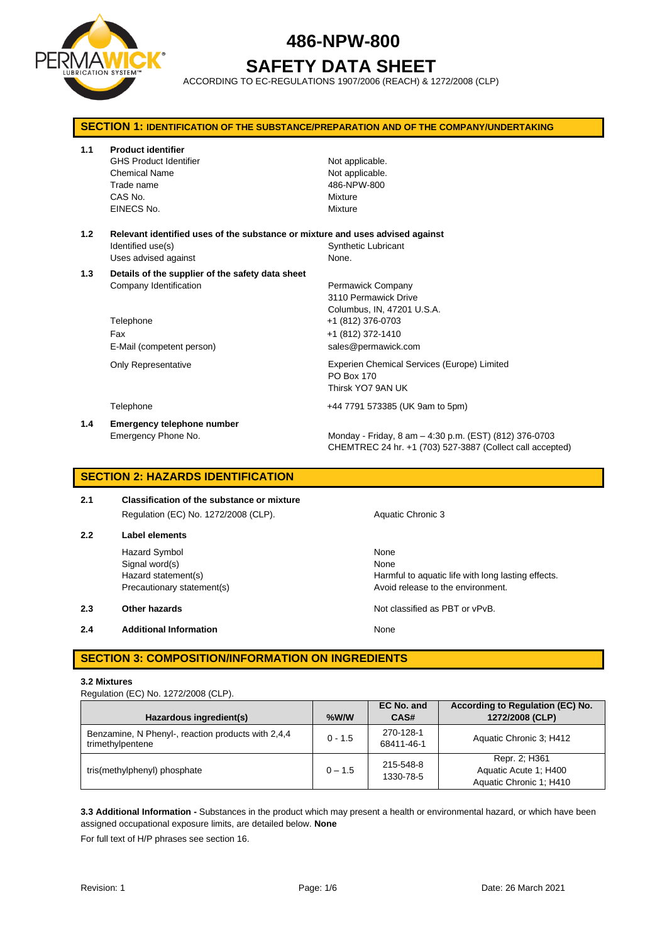

# **SAFETY DATA SHEET**

ACCORDING TO EC-REGULATIONS 1907/2006 (REACH) & 1272/2008 (CLP)

| <b>SECTION 1: IDENTIFICATION OF THE SUBSTANCE/PREPARATION AND OF THE COMPANY/UNDERTAKING</b> |                                                                                                                             |                                                                                                                                          |  |
|----------------------------------------------------------------------------------------------|-----------------------------------------------------------------------------------------------------------------------------|------------------------------------------------------------------------------------------------------------------------------------------|--|
| 1.1                                                                                          | <b>Product identifier</b><br><b>GHS Product Identifier</b><br><b>Chemical Name</b><br>Trade name<br>CAS No.<br>EINECS No.   | Not applicable.<br>Not applicable.<br>486-NPW-800<br>Mixture<br>Mixture                                                                  |  |
| 1.2                                                                                          | Relevant identified uses of the substance or mixture and uses advised against<br>Identified use(s)<br>Uses advised against  | <b>Synthetic Lubricant</b><br>None.                                                                                                      |  |
| 1.3                                                                                          | Details of the supplier of the safety data sheet<br>Company Identification<br>Telephone<br>Fax<br>E-Mail (competent person) | Permawick Company<br>3110 Permawick Drive<br>Columbus, IN, 47201 U.S.A.<br>+1 (812) 376-0703<br>+1 (812) 372-1410<br>sales@permawick.com |  |
|                                                                                              | <b>Only Representative</b>                                                                                                  | Experien Chemical Services (Europe) Limited<br>PO Box 170<br>Thirsk YO7 9AN UK                                                           |  |
|                                                                                              | Telephone                                                                                                                   | +44 7791 573385 (UK 9am to 5pm)                                                                                                          |  |
| 1.4                                                                                          | <b>Emergency telephone number</b><br>Emergency Phone No.                                                                    | Monday - Friday, 8 am - 4:30 p.m. (EST) (812) 376-0703<br>CHEMTREC 24 hr. +1 (703) 527-3887 (Collect call accepted)                      |  |

## **SECTION 2: HAZARDS IDENTIFICATION**

## **2.1 Classification of the substance or mixture** Regulation (EC) No. 1272/2008 (CLP). Aquatic Chronic 3

## **2.2 Label elements** Hazard Symbol None

Signal word(s) None

**2.4 Additional Information None** 

Hazard statement(s) The Harmful to aquatic life with long lasting effects. Precautionary statement(s) example a provide the environment.

**2.3 Other hazards Details According to the COVID-100 Motion COVID-100 Motion COVID-100 Motion COVID-100 Motion COVID-100 Motion COVID-100 Motion COVID-100 Motion COVID-100 Motion COVID-100 Motion COVID-100 Motion COVI** 

## **SECTION 3: COMPOSITION/INFORMATION ON INGREDIENTS**

## **3.2 Mixtures**

Regulation (EC) No. 1272/2008 (CLP).

| Hazardous ingredient(s)                                                | $%$ W/W   | EC No. and<br>CAS#      | According to Regulation (EC) No.<br>1272/2008 (CLP)               |
|------------------------------------------------------------------------|-----------|-------------------------|-------------------------------------------------------------------|
| Benzamine, N Phenyl-, reaction products with 2,4,4<br>trimethylpentene | $0 - 1.5$ | 270-128-1<br>68411-46-1 | Aquatic Chronic 3: H412                                           |
| tris(methylphenyl) phosphate                                           | $0 - 1.5$ | 215-548-8<br>1330-78-5  | Repr. 2; H361<br>Aquatic Acute 1: H400<br>Aquatic Chronic 1: H410 |

**3.3 Additional Information -** Substances in the product which may present a health or environmental hazard, or which have been assigned occupational exposure limits, are detailed below. **None**

For full text of H/P phrases see section 16.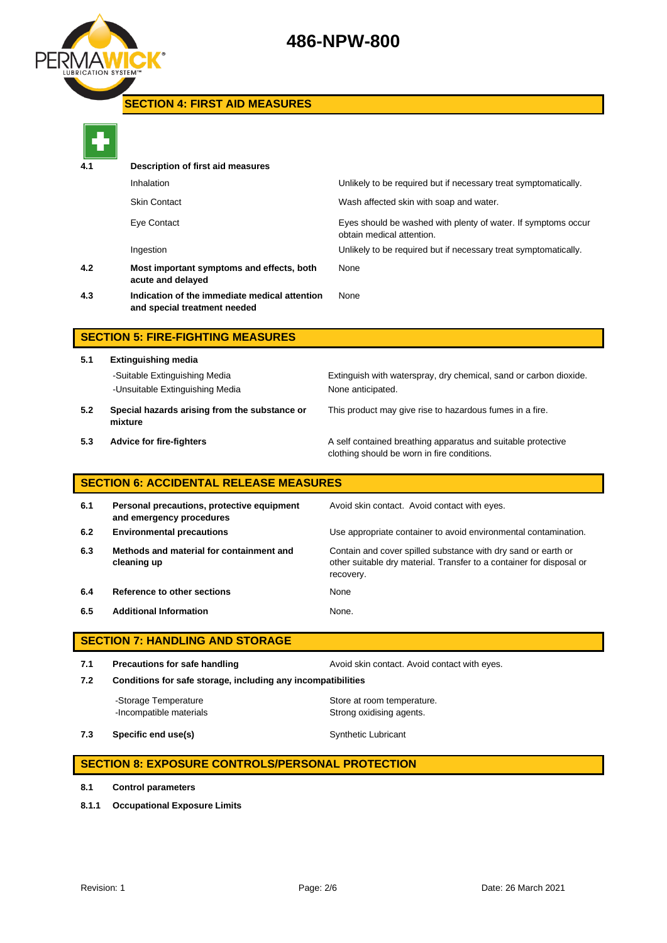

## **SECTION 4: FIRST AID MEASURES**



| 4.1 | Description of first aid measures                                             |                                                                                            |  |  |
|-----|-------------------------------------------------------------------------------|--------------------------------------------------------------------------------------------|--|--|
|     | Inhalation                                                                    | Unlikely to be required but if necessary treat symptomatically.                            |  |  |
|     | <b>Skin Contact</b>                                                           | Wash affected skin with soap and water.                                                    |  |  |
|     | Eye Contact                                                                   | Eyes should be washed with plenty of water. If symptoms occur<br>obtain medical attention. |  |  |
|     | Ingestion                                                                     | Unlikely to be required but if necessary treat symptomatically.                            |  |  |
| 4.2 | Most important symptoms and effects, both<br>acute and delayed                | None                                                                                       |  |  |
| 4.3 | Indication of the immediate medical attention<br>and special treatment needed | None                                                                                       |  |  |
|     |                                                                               |                                                                                            |  |  |

## **SECTION 5: FIRE-FIGHTING MEASURES**

**5.1 Extinguishing media** -Suitable Extinguishing Media Extinguish with waterspray, dry chemical, sand or carbon dioxide. -Unsuitable Extinguishing Media None anticipated. **5.2 Special hazards arising from the substance or mixture**

- This product may give rise to hazardous fumes in a fire.
- 

**5.3 Advice for fire-fighters A self** contained breathing apparatus and suitable protective clothing should be worn in fire conditions.

## **SECTION 6: ACCIDENTAL RELEASE MEASURES**

| 6.1 | Personal precautions, protective equipment<br>and emergency procedures | Avoid skin contact. Avoid contact with eyes.                                                                                                       |
|-----|------------------------------------------------------------------------|----------------------------------------------------------------------------------------------------------------------------------------------------|
| 6.2 | <b>Environmental precautions</b>                                       | Use appropriate container to avoid environmental contamination.                                                                                    |
| 6.3 | Methods and material for containment and<br>cleaning up                | Contain and cover spilled substance with dry sand or earth or<br>other suitable dry material. Transfer to a container for disposal or<br>recovery. |
| 6.4 | Reference to other sections                                            | None                                                                                                                                               |
| 6.5 | <b>Additional Information</b>                                          | None.                                                                                                                                              |

## **SECTION 7: HANDLING AND STORAGE**

**7.1 Precautions for safe handling Avoid skin contact. Avoid contact with eyes. 7.2 Conditions for safe storage, including any incompatibilities** -Storage Temperature **Store at room temperature.** 

**7.3 Specific end use(s)** Synthetic Lubricant

## **SECTION 8: EXPOSURE CONTROLS/PERSONAL PROTECTION**

-Incompatible materials **Strong oxidising agents**.

- **8.1 Control parameters**
- **8.1.1 Occupational Exposure Limits**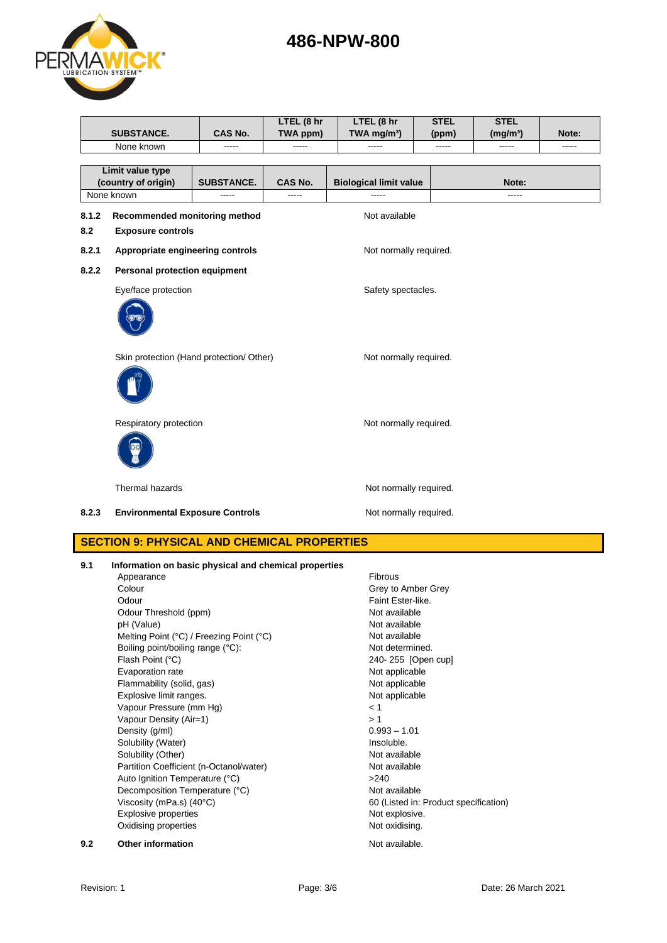|       | <b>SUBSTANCE.</b>                                     | <b>CAS No.</b>                           | LTEL (8 hr<br>TWA ppm) | LTEL (8 hr<br>TWA mg/m <sup>3</sup> ) | <b>STEL</b><br>(ppm) | <b>STEL</b><br>(mg/m <sup>3</sup> ) | Note: |
|-------|-------------------------------------------------------|------------------------------------------|------------------------|---------------------------------------|----------------------|-------------------------------------|-------|
|       | None known                                            | -----                                    | -----                  | -----                                 | -----                | -----                               | ----- |
|       | Limit value type<br>(country of origin)               | <b>SUBSTANCE.</b>                        | <b>CAS No.</b>         | <b>Biological limit value</b>         |                      | Note:                               |       |
|       | None known                                            | -----                                    | -----                  | -----                                 |                      | $---$                               |       |
| 8.1.2 | Recommended monitoring method                         |                                          |                        | Not available                         |                      |                                     |       |
| 8.2   | <b>Exposure controls</b>                              |                                          |                        |                                       |                      |                                     |       |
| 8.2.1 | Appropriate engineering controls                      |                                          |                        | Not normally required.                |                      |                                     |       |
| 8.2.2 | Personal protection equipment                         |                                          |                        |                                       |                      |                                     |       |
|       | Eye/face protection                                   |                                          |                        | Safety spectacles.                    |                      |                                     |       |
|       |                                                       |                                          |                        |                                       |                      |                                     |       |
|       |                                                       | Skin protection (Hand protection/ Other) |                        | Not normally required.                |                      |                                     |       |
|       |                                                       |                                          |                        |                                       |                      |                                     |       |
|       | Respiratory protection                                |                                          |                        | Not normally required.                |                      |                                     |       |
|       |                                                       |                                          |                        |                                       |                      |                                     |       |
|       | Thermal hazards                                       |                                          |                        | Not normally required.                |                      |                                     |       |
| 8.2.3 | <b>Environmental Exposure Controls</b>                |                                          |                        | Not normally required.                |                      |                                     |       |
|       | <b>SECTION 9: PHYSICAL AND CHEMICAL PROPERTIES</b>    |                                          |                        |                                       |                      |                                     |       |
| 9.1   | Information on basic physical and chemical properties |                                          |                        |                                       |                      |                                     |       |
|       | Appearance                                            |                                          |                        | Fibrous                               |                      |                                     |       |
|       | Colour<br>$\sim$                                      |                                          |                        | Grey to Amber Grey<br>ロックス にほうしょう じしょ |                      |                                     |       |

| 9.2 | <b>Other information</b>                 | Not available.                        |
|-----|------------------------------------------|---------------------------------------|
|     | Oxidising properties                     | Not oxidising.                        |
|     | Explosive properties                     | Not explosive.                        |
|     | Viscosity (mPa.s) (40°C)                 | 60 (Listed in: Product specification) |
|     | Decomposition Temperature (°C)           | Not available                         |
|     | Auto Ignition Temperature (°C)           | >240                                  |
|     | Partition Coefficient (n-Octanol/water)  | Not available                         |
|     | Solubility (Other)                       | Not available                         |
|     | Solubility (Water)                       | Insoluble.                            |
|     | Density (g/ml)                           | $0.993 - 1.01$                        |
|     | Vapour Density (Air=1)                   | >1                                    |
|     | Vapour Pressure (mm Hg)                  | < 1                                   |
|     | Explosive limit ranges.                  | Not applicable                        |
|     | Flammability (solid, gas)                | Not applicable                        |
|     | Evaporation rate                         | Not applicable                        |
|     | Flash Point (°C)                         | 240-255 [Open cup]                    |
|     | Boiling point/boiling range (°C):        | Not determined.                       |
|     | Melting Point (°C) / Freezing Point (°C) | Not available                         |
|     | pH (Value)                               | Not available                         |
|     | Odour Threshold (ppm)                    | Not available                         |
|     | Odour                                    | Faint Ester-like.                     |
|     | Colour                                   | Grey to Amber Grey                    |

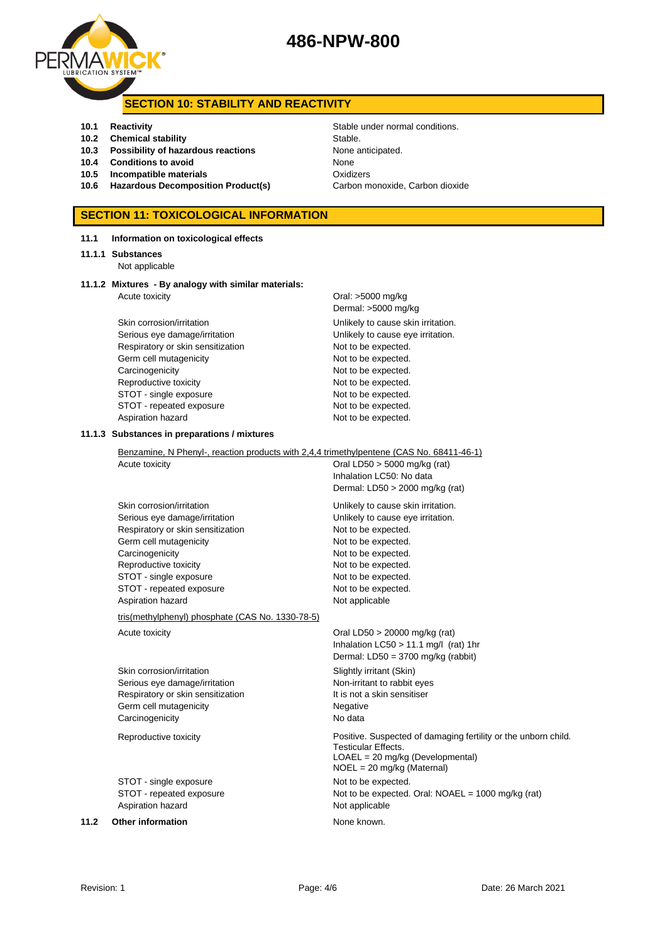

## **SECTION 10: STABILITY AND REACTIVITY**

- 
- **10.2 Chemical stability** Stable
- **10.3 Possibility of hazardous reactions** None anticipated.
- **10.4 Conditions to avoid** None
- **10.5 Incompatible materials** Oxidizers
- **10.6 Hazardous Decomposition Product(s)** Carbon monoxide, Carbon dioxide

## **SECTION 11: TOXICOLOGICAL INFORMATION**

## **11.1 Information on toxicological effects**

### **11.1.1 Substances**

Not applicable

## **11.1.2 Mixtures - By analogy with similar materials:** Acute toxicity **Acute in the Contract Contract Contract Contract Contract Contract Contract Contract Contract Contract Contract Contract Contract Contract Contract Contract Contract Contract Contract Contract Contract Cont**

Skin corrosion/irritation extended to the Unlikely to cause skin irritation. Serious eye damage/irritation **Exercise 20** Unlikely to cause eye irritation. Respiratory or skin sensitization Not to be expected. Germ cell mutagenicity expected. Carcinogenicity **Not to be expected.** Reproductive toxicity Not to be expected. STOT - single exposure Not to be expected. STOT - repeated exposure Not to be expected. Aspiration hazard Not to be expected.

# Dermal: >5000 mg/kg

## **11.1.3 Substances in preparations / mixtures**

Benzamine, N Phenyl-, reaction products with 2,4,4 trimethylpentene (CAS No. 68411-46-1) Acute toxicity **Oral LD50** > 5000 mg/kg (rat) Inhalation LC50: No data Dermal: LD50 > 2000 mg/kg (rat) Skin corrosion/irritation **Unlikely to cause skin irritation**. Serious eye damage/irritation **Exercise 2018** Unlikely to cause eye irritation. Respiratory or skin sensitization Not to be expected. Germ cell mutagenicity expected. Carcinogenicity **Not to be expected.** Reproductive toxicity Not to be expected. STOT - single exposure Not to be expected. STOT - repeated exposure Not to be expected. Aspiration hazard Not applicable tris(methylphenyl) phosphate (CAS No. 1330-78-5) Acute toxicity **Acute toxicity** Oral LD50 > 20000 mg/kg (rat) Inhalation LC50 > 11.1 mg/l (rat) 1hr Dermal: LD50 = 3700 mg/kg (rabbit) Skin corrosion/irritation Skin Slightly irritant (Skin) Serious eye damage/irritation Non-irritant to rabbit eyes Respiratory or skin sensitization It is not a skin sensitiser

Germ cell mutagenicity **Negative** Negative Carcinogenicity **No data** 

Reproductive toxicity Positive. Suspected of damaging fertility or the unborn child.

STOT - single exposure Not to be expected. STOT - repeated exposure Not to be expected. Oral: NOAEL = 1000 mg/kg (rat) Aspiration hazard Not applicable

**11.2 Other information None known.** 

**10.1 Reactivity Constanting Stable under normal conditions.** 

Testicular Effects.

LOAEL = 20 mg/kg (Developmental) NOEL = 20 mg/kg (Maternal)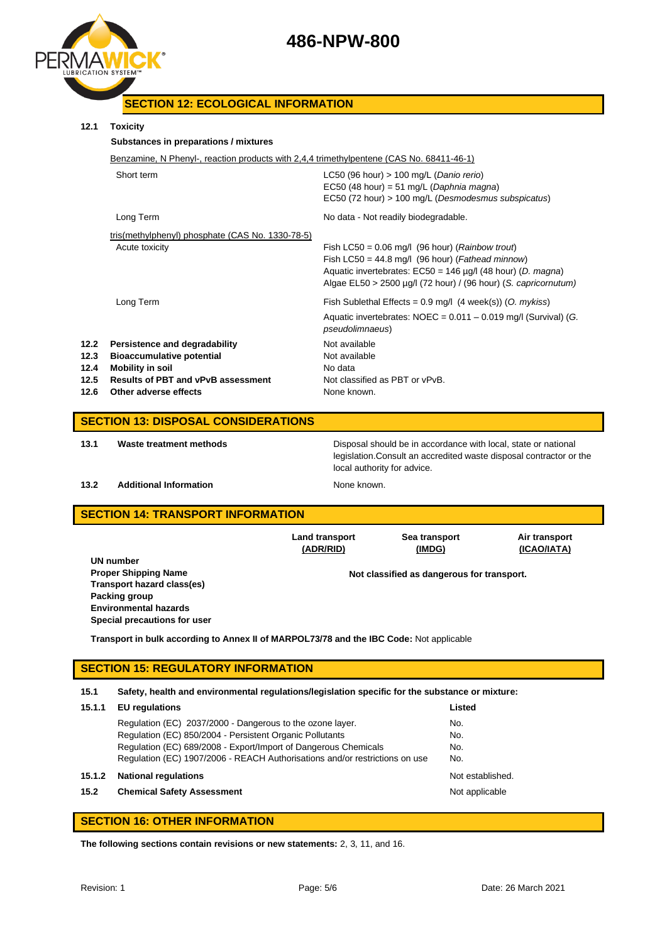



## **SECTION 12: ECOLOGICAL INFORMATION**

## **12.1 Toxicity**

| 12.1                                  | <b>Toxicity</b>                                                                                                                                             |                                                                                                                                                                                                                                                       |  |  |
|---------------------------------------|-------------------------------------------------------------------------------------------------------------------------------------------------------------|-------------------------------------------------------------------------------------------------------------------------------------------------------------------------------------------------------------------------------------------------------|--|--|
| Substances in preparations / mixtures |                                                                                                                                                             |                                                                                                                                                                                                                                                       |  |  |
|                                       | Benzamine, N Phenyl-, reaction products with 2,4,4 trimethylpentene (CAS No. 68411-46-1)                                                                    |                                                                                                                                                                                                                                                       |  |  |
|                                       | Short term                                                                                                                                                  | LC50 (96 hour) $> 100$ mg/L (Danio rerio)<br>EC50 (48 hour) = 51 mg/L (Daphnia magna)<br>EC50 (72 hour) > 100 mg/L (Desmodesmus subspicatus)                                                                                                          |  |  |
|                                       | Long Term                                                                                                                                                   | No data - Not readily biodegradable.                                                                                                                                                                                                                  |  |  |
|                                       | tris(methylphenyl) phosphate (CAS No. 1330-78-5)<br>Acute toxicity                                                                                          | Fish LC50 = $0.06$ mg/l (96 hour) ( <i>Rainbow trout</i> )<br>Fish LC50 = 44.8 mg/l (96 hour) (Fathead minnow)<br>Aquatic invertebrates: EC50 = 146 µg/l (48 hour) (D. magna)<br>Algae $EL50 > 2500 \mu g/l$ (72 hour) / (96 hour) (S. capricornutum) |  |  |
|                                       | Long Term                                                                                                                                                   | Fish Sublethal Effects = $0.9$ mg/l (4 week(s)) (O. mykiss)<br>Aquatic invertebrates: $NOEC = 0.011 - 0.019$ mg/l (Survival) (G.                                                                                                                      |  |  |
| 12.2<br>12.3<br>12.4<br>12.5<br>12.6  | Persistence and degradability<br><b>Bioaccumulative potential</b><br>Mobility in soil<br><b>Results of PBT and vPvB assessment</b><br>Other adverse effects | pseudolimnaeus)<br>Not available<br>Not available<br>No data<br>Not classified as PBT or vPvB.<br>None known.                                                                                                                                         |  |  |
|                                       |                                                                                                                                                             |                                                                                                                                                                                                                                                       |  |  |

## **SECTION 13: DISPOSAL CONSIDERATIONS**

**13.1 Waste treatment methods** Disposal should be in accordance with local, state or national legislation.Consult an accredited waste disposal contractor or the local authority for advice.

## **13.2 Additional Information None known.**

## **SECTION 14: TRANSPORT INFORMATION**

|                                                                                         | <b>Land transport</b><br>(ADR/RID) | Sea transport<br>(IMDG)                    | Air transport<br>(ICAO/IATA) |  |
|-----------------------------------------------------------------------------------------|------------------------------------|--------------------------------------------|------------------------------|--|
| UN number                                                                               |                                    |                                            |                              |  |
| <b>Proper Shipping Name</b>                                                             |                                    | Not classified as dangerous for transport. |                              |  |
| Transport hazard class(es)                                                              |                                    |                                            |                              |  |
| Packing group                                                                           |                                    |                                            |                              |  |
| <b>Environmental hazards</b>                                                            |                                    |                                            |                              |  |
| Special precautions for user                                                            |                                    |                                            |                              |  |
| Transport in bulk according to Annex II of MARPOL73/78 and the IBC Code: Not applicable |                                    |                                            |                              |  |

## **SECTION 15: REGULATORY INFORMATION**

**15.1 Safety, health and environmental regulations/legislation specific for the substance or mixture:**

| 15.1.1 | <b>EU</b> regulations                                                       | Listed           |
|--------|-----------------------------------------------------------------------------|------------------|
|        | Regulation (EC) 2037/2000 - Dangerous to the ozone layer.                   | No.              |
|        | Regulation (EC) 850/2004 - Persistent Organic Pollutants                    | No.              |
|        | Regulation (EC) 689/2008 - Export/Import of Dangerous Chemicals             | No.              |
|        | Regulation (EC) 1907/2006 - REACH Authorisations and/or restrictions on use | No.              |
| 15.1.2 | <b>National regulations</b>                                                 | Not established. |
| 15.2   | <b>Chemical Safety Assessment</b>                                           | Not applicable   |
|        |                                                                             |                  |

## **SECTION 16: OTHER INFORMATION**

**The following sections contain revisions or new statements:** 2, 3, 11, and 16.